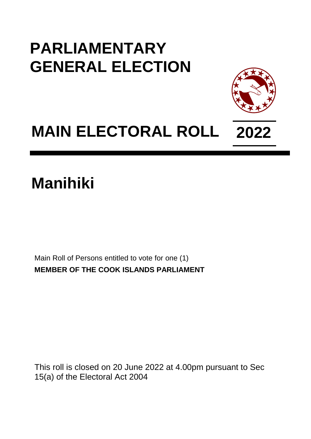## **PARLIAMENTARY GENERAL ELECTION**



## **MAIN ELECTORAL ROLL 2022**

## **Manihiki**

Main Roll of Persons entitled to vote for one (1) **MEMBER OF THE COOK ISLANDS PARLIAMENT**

This roll is closed on 20 June 2022 at 4.00pm pursuant to Sec 15(a) of the Electoral Act 2004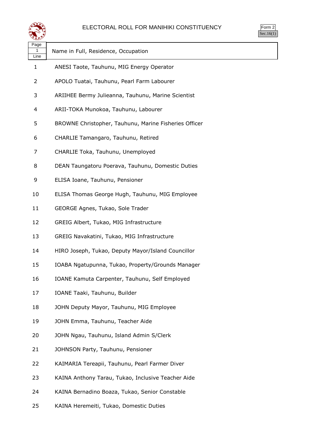

Form 2 Sec.16(1)

| Page<br>1<br>Line | Name in Full, Residence, Occupation                   |
|-------------------|-------------------------------------------------------|
| $\mathbf{1}$      | ANESI Taote, Tauhunu, MIG Energy Operator             |
| 2                 | APOLO Tuatai, Tauhunu, Pearl Farm Labourer            |
| 3                 | ARIIHEE Bermy Julieanna, Tauhunu, Marine Scientist    |
| 4                 | ARII-TOKA Munokoa, Tauhunu, Labourer                  |
| 5                 | BROWNE Christopher, Tauhunu, Marine Fisheries Officer |
| 6                 | CHARLIE Tamangaro, Tauhunu, Retired                   |
| 7                 | CHARLIE Toka, Tauhunu, Unemployed                     |
| 8                 | DEAN Taungatoru Poerava, Tauhunu, Domestic Duties     |
| 9                 | ELISA Ioane, Tauhunu, Pensioner                       |
| 10                | ELISA Thomas George Hugh, Tauhunu, MIG Employee       |
| 11                | GEORGE Agnes, Tukao, Sole Trader                      |
| 12                | GREIG Albert, Tukao, MIG Infrastructure               |
| 13                | GREIG Navakatini, Tukao, MIG Infrastructure           |
| 14                | HIRO Joseph, Tukao, Deputy Mayor/Island Councillor    |
| 15                | IOABA Ngatupunna, Tukao, Property/Grounds Manager     |
| 16                | IOANE Kamuta Carpenter, Tauhunu, Self Employed        |
| 17                | IOANE Taaki, Tauhunu, Builder                         |
| 18                | JOHN Deputy Mayor, Tauhunu, MIG Employee              |
| 19                | JOHN Emma, Tauhunu, Teacher Aide                      |
| 20                | JOHN Ngau, Tauhunu, Island Admin S/Clerk              |
| 21                | JOHNSON Party, Tauhunu, Pensioner                     |
| 22                | KAIMARIA Tereapii, Tauhunu, Pearl Farmer Diver        |
| 23                | KAINA Anthony Tarau, Tukao, Inclusive Teacher Aide    |
| 24                | KAINA Bernadino Boaza, Tukao, Senior Constable        |

KAINA Heremeiti, Tukao, Domestic Duties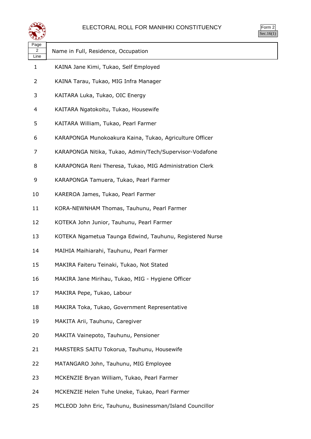

| orm<br>╭ |
|----------|
| ` 1      |

| Page<br>2<br>Line | Name in Full, Residence, Occupation                      |
|-------------------|----------------------------------------------------------|
| 1                 | KAINA Jane Kimi, Tukao, Self Employed                    |
| 2                 | KAINA Tarau, Tukao, MIG Infra Manager                    |
| 3                 | KAITARA Luka, Tukao, OIC Energy                          |
| 4                 | KAITARA Ngatokoitu, Tukao, Housewife                     |
| 5                 | KAITARA William, Tukao, Pearl Farmer                     |
| 6                 | KARAPONGA Munokoakura Kaina, Tukao, Agriculture Officer  |
| 7                 | KARAPONGA Nitika, Tukao, Admin/Tech/Supervisor-Vodafone  |
| 8                 | KARAPONGA Reni Theresa, Tukao, MIG Administration Clerk  |
| 9                 | KARAPONGA Tamuera, Tukao, Pearl Farmer                   |
| 10                | KAREROA James, Tukao, Pearl Farmer                       |
| 11                | KORA-NEWNHAM Thomas, Tauhunu, Pearl Farmer               |
| 12                | KOTEKA John Junior, Tauhunu, Pearl Farmer                |
| 13                | KOTEKA Ngametua Taunga Edwind, Tauhunu, Registered Nurse |
| 14                | MAIHIA Maihiarahi, Tauhunu, Pearl Farmer                 |
| 15                | MAKIRA Faiteru Teinaki, Tukao, Not Stated                |
| 16                | MAKIRA Jane Mirihau, Tukao, MIG - Hygiene Officer        |
| 17                | MAKIRA Pepe, Tukao, Labour                               |
| 18                | MAKIRA Toka, Tukao, Government Representative            |
| 19                | MAKITA Arii, Tauhunu, Caregiver                          |
| 20                | MAKITA Vainepoto, Tauhunu, Pensioner                     |
| 21                | MARSTERS SAITU Tokorua, Tauhunu, Housewife               |
| 22                | MATANGARO John, Tauhunu, MIG Employee                    |
| 23                | MCKENZIE Bryan William, Tukao, Pearl Farmer              |
| 24                | MCKENZIE Helen Tuhe Uneke, Tukao, Pearl Farmer           |

MCLEOD John Eric, Tauhunu, Businessman/Island Councillor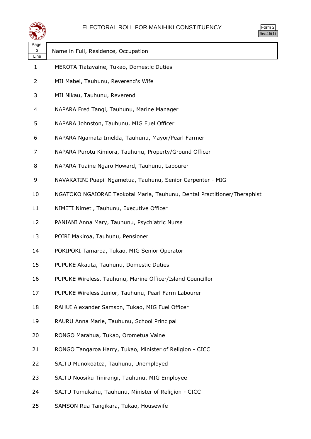

| Page<br>3<br>Line | Name in Full, Residence, Occupation                                      |
|-------------------|--------------------------------------------------------------------------|
| 1                 | MEROTA Tiatavaine, Tukao, Domestic Duties                                |
| 2                 | MII Mabel, Tauhunu, Reverend's Wife                                      |
| 3                 | MII Nikau, Tauhunu, Reverend                                             |
| 4                 | NAPARA Fred Tangi, Tauhunu, Marine Manager                               |
| 5                 | NAPARA Johnston, Tauhunu, MIG Fuel Officer                               |
| 6                 | NAPARA Ngamata Imelda, Tauhunu, Mayor/Pearl Farmer                       |
| 7                 | NAPARA Purotu Kimiora, Tauhunu, Property/Ground Officer                  |
| 8                 | NAPARA Tuaine Ngaro Howard, Tauhunu, Labourer                            |
| 9                 | NAVAKATINI Puapii Ngametua, Tauhunu, Senior Carpenter - MIG              |
| 10                | NGATOKO NGAIORAE Teokotai Maria, Tauhunu, Dental Practitioner/Theraphist |
| 11                | NIMETI Nimeti, Tauhunu, Executive Officer                                |
| 12                | PANIANI Anna Mary, Tauhunu, Psychiatric Nurse                            |
| 13                | POIRI Makiroa, Tauhunu, Pensioner                                        |
| 14                | POKIPOKI Tamaroa, Tukao, MIG Senior Operator                             |
| 15                | PUPUKE Akauta, Tauhunu, Domestic Duties                                  |
| 16                | PUPUKE Wireless, Tauhunu, Marine Officer/Island Councillor               |
| 17                | PUPUKE Wireless Junior, Tauhunu, Pearl Farm Labourer                     |
| 18                | RAHUI Alexander Samson, Tukao, MIG Fuel Officer                          |
| 19                | RAURU Anna Marie, Tauhunu, School Principal                              |
| 20                | RONGO Marahua, Tukao, Orometua Vaine                                     |
| 21                | RONGO Tangaroa Harry, Tukao, Minister of Religion - CICC                 |
| 22                | SAITU Munokoatea, Tauhunu, Unemployed                                    |
| 23                | SAITU Noosiku Tinirangi, Tauhunu, MIG Employee                           |
| 24                | SAITU Tumukahu, Tauhunu, Minister of Religion - CICC                     |

SAMSON Rua Tangikara, Tukao, Housewife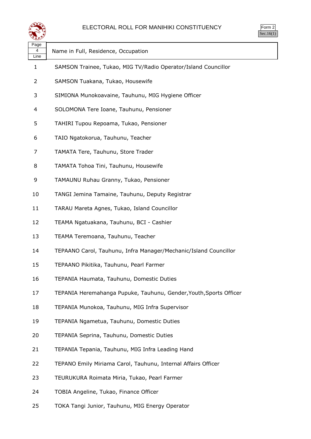

| ९೬१               |                                                                    |
|-------------------|--------------------------------------------------------------------|
| Page<br>4<br>Line | Name in Full, Residence, Occupation                                |
| 1                 | SAMSON Trainee, Tukao, MIG TV/Radio Operator/Island Councillor     |
| $\overline{2}$    | SAMSON Tuakana, Tukao, Housewife                                   |
| 3                 | SIMIONA Munokoavaine, Tauhunu, MIG Hygiene Officer                 |
| 4                 | SOLOMONA Tere Ioane, Tauhunu, Pensioner                            |
| 5                 | TAHIRI Tupou Repoama, Tukao, Pensioner                             |
| 6                 | TAIO Ngatokorua, Tauhunu, Teacher                                  |
| 7                 | TAMATA Tere, Tauhunu, Store Trader                                 |
| 8                 | TAMATA Tohoa Tini, Tauhunu, Housewife                              |
| 9                 | TAMAUNU Ruhau Granny, Tukao, Pensioner                             |
| 10                | TANGI Jemina Tamaine, Tauhunu, Deputy Registrar                    |
| 11                | TARAU Mareta Agnes, Tukao, Island Councillor                       |
| 12                | TEAMA Ngatuakana, Tauhunu, BCI - Cashier                           |
| 13                | TEAMA Teremoana, Tauhunu, Teacher                                  |
| 14                | TEPAANO Carol, Tauhunu, Infra Manager/Mechanic/Island Councillor   |
| 15                | TEPAANO Pikitika, Tauhunu, Pearl Farmer                            |
| 16                | TEPANIA Haumata, Tauhunu, Domestic Duties                          |
| 17                | TEPANIA Heremahanga Pupuke, Tauhunu, Gender, Youth, Sports Officer |
| 18                | TEPANIA Munokoa, Tauhunu, MIG Infra Supervisor                     |
| 19                | TEPANIA Ngametua, Tauhunu, Domestic Duties                         |
| 20                | TEPANIA Seprina, Tauhunu, Domestic Duties                          |
| 21                | TEPANIA Tepania, Tauhunu, MIG Infra Leading Hand                   |
| 22                | TEPANO Emily Miriama Carol, Tauhunu, Internal Affairs Officer      |
| 23                | TEURUKURA Roimata Miria, Tukao, Pearl Farmer                       |
| 24                | TOBIA Angeline, Tukao, Finance Officer                             |

TOKA Tangi Junior, Tauhunu, MIG Energy Operator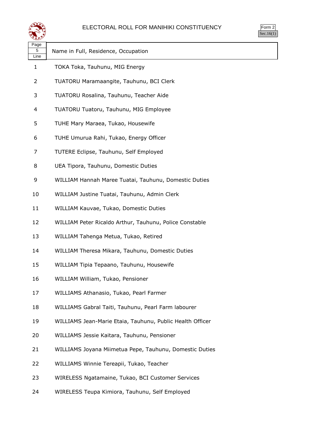

| orm<br>╭ |
|----------|
| ` 1      |

 $\overline{\phantom{0}}$ 

| પ∓≠У              |                                                           |
|-------------------|-----------------------------------------------------------|
| Page<br>5<br>Line | Name in Full, Residence, Occupation                       |
| $\mathbf{1}$      | TOKA Toka, Tauhunu, MIG Energy                            |
| 2                 | TUATORU Maramaangite, Tauhunu, BCI Clerk                  |
| 3                 | TUATORU Rosalina, Tauhunu, Teacher Aide                   |
| 4                 | TUATORU Tuatoru, Tauhunu, MIG Employee                    |
| 5                 | TUHE Mary Maraea, Tukao, Housewife                        |
| 6                 | TUHE Umurua Rahi, Tukao, Energy Officer                   |
| 7                 | TUTERE Eclipse, Tauhunu, Self Employed                    |
| 8                 | UEA Tipora, Tauhunu, Domestic Duties                      |
| 9                 | WILLIAM Hannah Maree Tuatai, Tauhunu, Domestic Duties     |
| 10                | WILLIAM Justine Tuatai, Tauhunu, Admin Clerk              |
| 11                | WILLIAM Kauvae, Tukao, Domestic Duties                    |
| 12                | WILLIAM Peter Ricaldo Arthur, Tauhunu, Police Constable   |
| 13                | WILLIAM Tahenga Metua, Tukao, Retired                     |
| 14                | WILLIAM Theresa Mikara, Tauhunu, Domestic Duties          |
| 15                | WILLIAM Tipia Tepaano, Tauhunu, Housewife                 |
| 16                | WILLIAM William, Tukao, Pensioner                         |
| 17                | WILLIAMS Athanasio, Tukao, Pearl Farmer                   |
| 18                | WILLIAMS Gabral Taiti, Tauhunu, Pearl Farm labourer       |
| 19                | WILLIAMS Jean-Marie Etaia, Tauhunu, Public Health Officer |
| 20                | WILLIAMS Jessie Kaitara, Tauhunu, Pensioner               |
| 21                | WILLIAMS Joyana Miimetua Pepe, Tauhunu, Domestic Duties   |
| 22                | WILLIAMS Winnie Tereapii, Tukao, Teacher                  |
| 23                | WIRELESS Ngatamaine, Tukao, BCI Customer Services         |
| 24                | WIRELESS Teupa Kimiora, Tauhunu, Self Employed            |